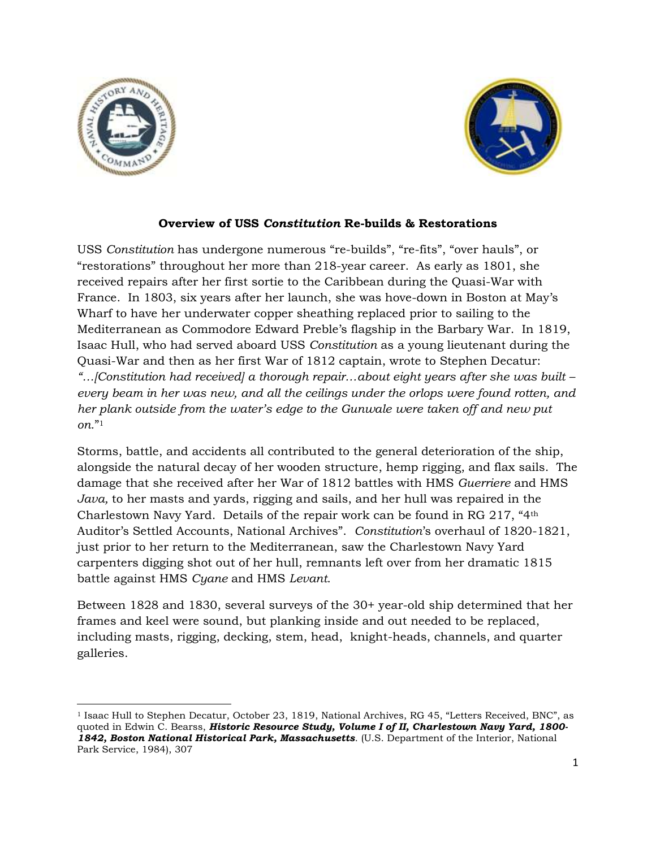

 $\overline{\phantom{a}}$ 



## **Overview of USS** *Constitution* **Re-builds & Restorations**

USS *Constitution* has undergone numerous "re-builds", "re-fits", "over hauls", or "restorations" throughout her more than 218-year career. As early as 1801, she received repairs after her first sortie to the Caribbean during the Quasi-War with France. In 1803, six years after her launch, she was hove-down in Boston at May's Wharf to have her underwater copper sheathing replaced prior to sailing to the Mediterranean as Commodore Edward Preble's flagship in the Barbary War. In 1819, Isaac Hull, who had served aboard USS *Constitution* as a young lieutenant during the Quasi-War and then as her first War of 1812 captain, wrote to Stephen Decatur: *"…[Constitution had received] a thorough repair…about eight years after she was built – every beam in her was new, and all the ceilings under the orlops were found rotten, and her plank outside from the water's edge to the Gunwale were taken off and new put on.*" 1

Storms, battle, and accidents all contributed to the general deterioration of the ship, alongside the natural decay of her wooden structure, hemp rigging, and flax sails. The damage that she received after her War of 1812 battles with HMS *Guerriere* and HMS *Java,* to her masts and yards, rigging and sails, and her hull was repaired in the Charlestown Navy Yard. Details of the repair work can be found in RG 217, "4th Auditor's Settled Accounts, National Archives". *Constitution*'s overhaul of 1820-1821, just prior to her return to the Mediterranean, saw the Charlestown Navy Yard carpenters digging shot out of her hull, remnants left over from her dramatic 1815 battle against HMS *Cyane* and HMS *Levant*.

Between 1828 and 1830, several surveys of the 30+ year-old ship determined that her frames and keel were sound, but planking inside and out needed to be replaced, including masts, rigging, decking, stem, head, knight-heads, channels, and quarter galleries.

<sup>1</sup> Isaac Hull to Stephen Decatur, October 23, 1819, National Archives, RG 45, "Letters Received, BNC", as quoted in Edwin C. Bearss, *Historic Resource Study, Volume I of II, Charlestown Navy Yard, 1800- 1842, Boston National Historical Park, Massachusetts*. (U.S. Department of the Interior, National Park Service, 1984), 307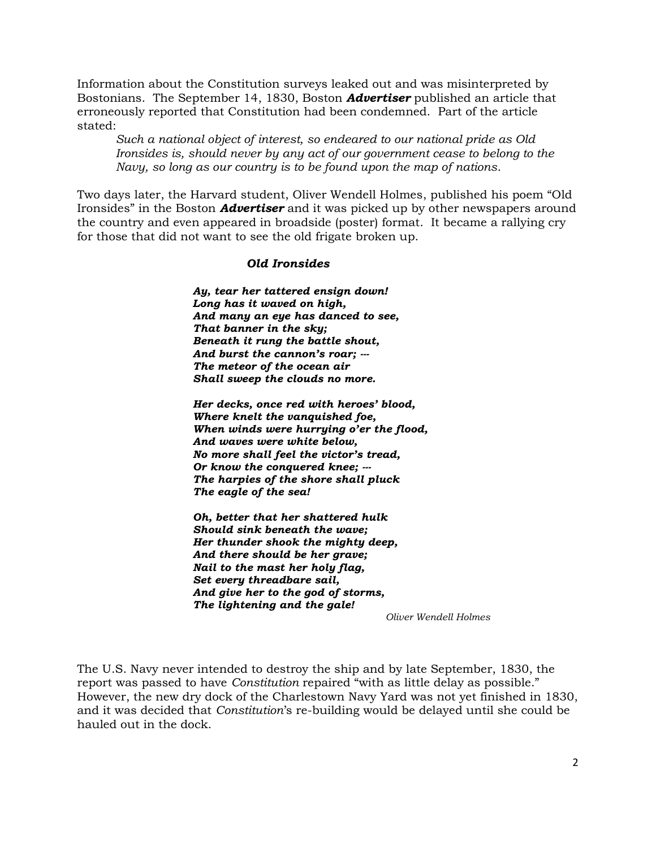Information about the Constitution surveys leaked out and was misinterpreted by Bostonians. The September 14, 1830, Boston *Advertiser* published an article that erroneously reported that Constitution had been condemned. Part of the article stated:

*Such a national object of interest, so endeared to our national pride as Old Ironsides is, should never by any act of our government cease to belong to the Navy, so long as our country is to be found upon the map of nations*.

Two days later, the Harvard student, Oliver Wendell Holmes, published his poem "Old Ironsides" in the Boston *Advertiser* and it was picked up by other newspapers around the country and even appeared in broadside (poster) format. It became a rallying cry for those that did not want to see the old frigate broken up.

## *Old Ironsides*

*Ay, tear her tattered ensign down! Long has it waved on high, And many an eye has danced to see, That banner in the sky; Beneath it rung the battle shout, And burst the cannon's roar; --- The meteor of the ocean air Shall sweep the clouds no more.*

*Her decks, once red with heroes' blood, Where knelt the vanquished foe, When winds were hurrying o'er the flood, And waves were white below, No more shall feel the victor's tread, Or know the conquered knee; --- The harpies of the shore shall pluck The eagle of the sea!*

*Oh, better that her shattered hulk Should sink beneath the wave; Her thunder shook the mighty deep, And there should be her grave; Nail to the mast her holy flag, Set every threadbare sail, And give her to the god of storms, The lightening and the gale!*

*Oliver Wendell Holmes*

The U.S. Navy never intended to destroy the ship and by late September, 1830, the report was passed to have *Constitution* repaired "with as little delay as possible." However, the new dry dock of the Charlestown Navy Yard was not yet finished in 1830, and it was decided that *Constitution*'s re-building would be delayed until she could be hauled out in the dock.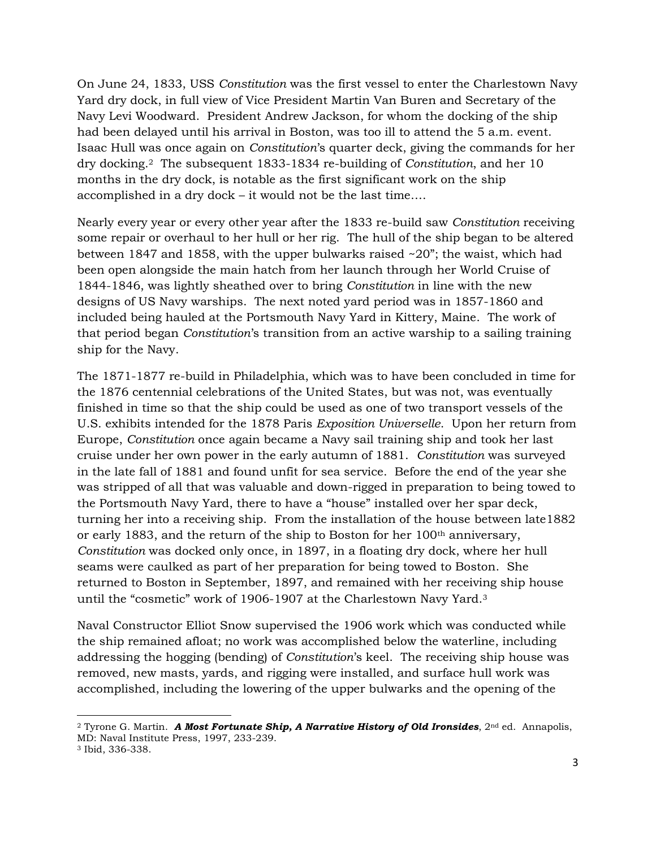On June 24, 1833, USS *Constitution* was the first vessel to enter the Charlestown Navy Yard dry dock, in full view of Vice President Martin Van Buren and Secretary of the Navy Levi Woodward. President Andrew Jackson, for whom the docking of the ship had been delayed until his arrival in Boston, was too ill to attend the 5 a.m. event. Isaac Hull was once again on *Constitution*'s quarter deck, giving the commands for her dry docking.2 The subsequent 1833-1834 re-building of *Constitution*, and her 10 months in the dry dock, is notable as the first significant work on the ship accomplished in a dry dock – it would not be the last time….

Nearly every year or every other year after the 1833 re-build saw *Constitution* receiving some repair or overhaul to her hull or her rig. The hull of the ship began to be altered between 1847 and 1858, with the upper bulwarks raised  $\sim$ 20"; the waist, which had been open alongside the main hatch from her launch through her World Cruise of 1844-1846, was lightly sheathed over to bring *Constitution* in line with the new designs of US Navy warships. The next noted yard period was in 1857-1860 and included being hauled at the Portsmouth Navy Yard in Kittery, Maine. The work of that period began *Constitution*'s transition from an active warship to a sailing training ship for the Navy.

The 1871-1877 re-build in Philadelphia, which was to have been concluded in time for the 1876 centennial celebrations of the United States, but was not, was eventually finished in time so that the ship could be used as one of two transport vessels of the U.S. exhibits intended for the 1878 Paris *Exposition Universelle*. Upon her return from Europe, *Constitution* once again became a Navy sail training ship and took her last cruise under her own power in the early autumn of 1881. *Constitution* was surveyed in the late fall of 1881 and found unfit for sea service. Before the end of the year she was stripped of all that was valuable and down-rigged in preparation to being towed to the Portsmouth Navy Yard, there to have a "house" installed over her spar deck, turning her into a receiving ship. From the installation of the house between late1882 or early 1883, and the return of the ship to Boston for her  $100<sup>th</sup>$  anniversary, *Constitution* was docked only once, in 1897, in a floating dry dock, where her hull seams were caulked as part of her preparation for being towed to Boston. She returned to Boston in September, 1897, and remained with her receiving ship house until the "cosmetic" work of 1906-1907 at the Charlestown Navy Yard.<sup>3</sup>

Naval Constructor Elliot Snow supervised the 1906 work which was conducted while the ship remained afloat; no work was accomplished below the waterline, including addressing the hogging (bending) of *Constitution*'s keel. The receiving ship house was removed, new masts, yards, and rigging were installed, and surface hull work was accomplished, including the lowering of the upper bulwarks and the opening of the

 $\overline{a}$ 

<sup>2</sup> Tyrone G. Martin. *A Most Fortunate Ship, A Narrative History of Old Ironsides*, 2nd ed. Annapolis, MD: Naval Institute Press, 1997, 233-239.

<sup>3</sup> Ibid, 336-338.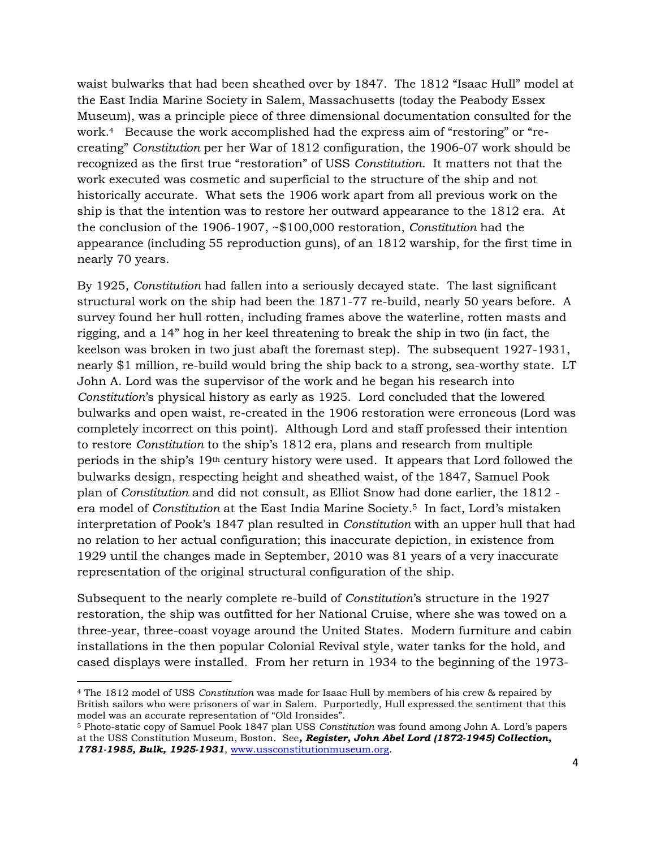waist bulwarks that had been sheathed over by 1847. The 1812 "Isaac Hull" model at the East India Marine Society in Salem, Massachusetts (today the Peabody Essex Museum), was a principle piece of three dimensional documentation consulted for the work.4 Because the work accomplished had the express aim of "restoring" or "recreating" *Constitution* per her War of 1812 configuration, the 1906-07 work should be recognized as the first true "restoration" of USS *Constitution*. It matters not that the work executed was cosmetic and superficial to the structure of the ship and not historically accurate. What sets the 1906 work apart from all previous work on the ship is that the intention was to restore her outward appearance to the 1812 era. At the conclusion of the 1906-1907, ~\$100,000 restoration, *Constitution* had the appearance (including 55 reproduction guns), of an 1812 warship, for the first time in nearly 70 years.

By 1925, *Constitution* had fallen into a seriously decayed state. The last significant structural work on the ship had been the 1871-77 re-build, nearly 50 years before. A survey found her hull rotten, including frames above the waterline, rotten masts and rigging, and a 14" hog in her keel threatening to break the ship in two (in fact, the keelson was broken in two just abaft the foremast step). The subsequent 1927-1931, nearly \$1 million, re-build would bring the ship back to a strong, sea-worthy state. LT John A. Lord was the supervisor of the work and he began his research into *Constitution*'s physical history as early as 1925. Lord concluded that the lowered bulwarks and open waist, re-created in the 1906 restoration were erroneous (Lord was completely incorrect on this point). Although Lord and staff professed their intention to restore *Constitution* to the ship's 1812 era, plans and research from multiple periods in the ship's 19th century history were used. It appears that Lord followed the bulwarks design, respecting height and sheathed waist, of the 1847, Samuel Pook plan of *Constitution* and did not consult, as Elliot Snow had done earlier, the 1812 era model of *Constitution* at the East India Marine Society.5 In fact, Lord's mistaken interpretation of Pook's 1847 plan resulted in *Constitution* with an upper hull that had no relation to her actual configuration; this inaccurate depiction, in existence from 1929 until the changes made in September, 2010 was 81 years of a very inaccurate representation of the original structural configuration of the ship.

Subsequent to the nearly complete re-build of *Constitution*'s structure in the 1927 restoration, the ship was outfitted for her National Cruise, where she was towed on a three-year, three-coast voyage around the United States. Modern furniture and cabin installations in the then popular Colonial Revival style, water tanks for the hold, and cased displays were installed. From her return in 1934 to the beginning of the 1973-

 $\overline{\phantom{a}}$ 

<sup>4</sup> The 1812 model of USS *Constitution* was made for Isaac Hull by members of his crew & repaired by British sailors who were prisoners of war in Salem. Purportedly, Hull expressed the sentiment that this model was an accurate representation of "Old Ironsides".

<sup>5</sup> Photo-static copy of Samuel Pook 1847 plan USS *Constitution* was found among John A. Lord's papers at the USS Constitution Museum, Boston. See*, Register, John Abel Lord (1872-1945) Collection, 1781-1985, Bulk, 1925-1931*, [www.ussconstitutionmuseum.org.](http://www.ussconstitutionmuseum.org/)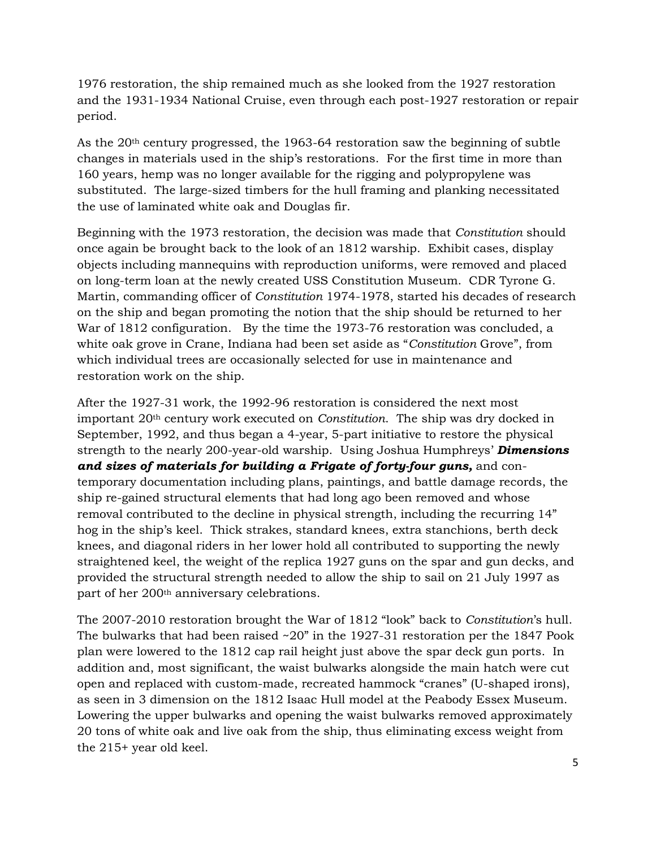1976 restoration, the ship remained much as she looked from the 1927 restoration and the 1931-1934 National Cruise, even through each post-1927 restoration or repair period.

As the 20th century progressed, the 1963-64 restoration saw the beginning of subtle changes in materials used in the ship's restorations. For the first time in more than 160 years, hemp was no longer available for the rigging and polypropylene was substituted. The large-sized timbers for the hull framing and planking necessitated the use of laminated white oak and Douglas fir.

Beginning with the 1973 restoration, the decision was made that *Constitution* should once again be brought back to the look of an 1812 warship. Exhibit cases, display objects including mannequins with reproduction uniforms, were removed and placed on long-term loan at the newly created USS Constitution Museum. CDR Tyrone G. Martin, commanding officer of *Constitution* 1974-1978, started his decades of research on the ship and began promoting the notion that the ship should be returned to her War of 1812 configuration. By the time the 1973-76 restoration was concluded, a white oak grove in Crane, Indiana had been set aside as "*Constitution* Grove", from which individual trees are occasionally selected for use in maintenance and restoration work on the ship.

After the 1927-31 work, the 1992-96 restoration is considered the next most important 20th century work executed on *Constitution*. The ship was dry docked in September, 1992, and thus began a 4-year, 5-part initiative to restore the physical strength to the nearly 200-year-old warship. Using Joshua Humphreys' *Dimensions and sizes of materials for building a Frigate of forty-four guns,* and contemporary documentation including plans, paintings, and battle damage records, the ship re-gained structural elements that had long ago been removed and whose removal contributed to the decline in physical strength, including the recurring 14" hog in the ship's keel. Thick strakes, standard knees, extra stanchions, berth deck knees, and diagonal riders in her lower hold all contributed to supporting the newly straightened keel, the weight of the replica 1927 guns on the spar and gun decks, and provided the structural strength needed to allow the ship to sail on 21 July 1997 as part of her 200th anniversary celebrations.

The 2007-2010 restoration brought the War of 1812 "look" back to *Constitution*'s hull. The bulwarks that had been raised  $\sim 20$ " in the 1927-31 restoration per the 1847 Pook plan were lowered to the 1812 cap rail height just above the spar deck gun ports. In addition and, most significant, the waist bulwarks alongside the main hatch were cut open and replaced with custom-made, recreated hammock "cranes" (U-shaped irons), as seen in 3 dimension on the 1812 Isaac Hull model at the Peabody Essex Museum. Lowering the upper bulwarks and opening the waist bulwarks removed approximately 20 tons of white oak and live oak from the ship, thus eliminating excess weight from the 215+ year old keel.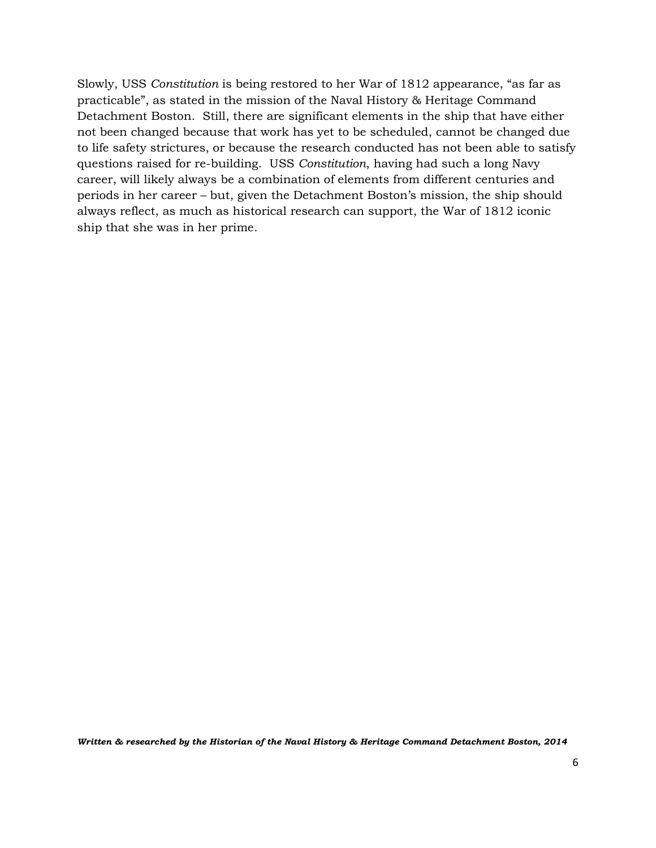Slowly, USS *Constitution* is being restored to her War of 1812 appearance, "as far as practicable", as stated in the mission of the Naval History & Heritage Command Detachment Boston. Still, there are significant elements in the ship that have either not been changed because that work has yet to be scheduled, cannot be changed due to life safety strictures, or because the research conducted has not been able to satisfy questions raised for re-building. USS *Constitution*, having had such a long Navy career, will likely always be a combination of elements from different centuries and periods in her career – but, given the Detachment Boston's mission, the ship should always reflect, as much as historical research can support, the War of 1812 iconic ship that she was in her prime.

*Written & researched by the Historian of the Naval History & Heritage Command Detachment Boston, 2014*